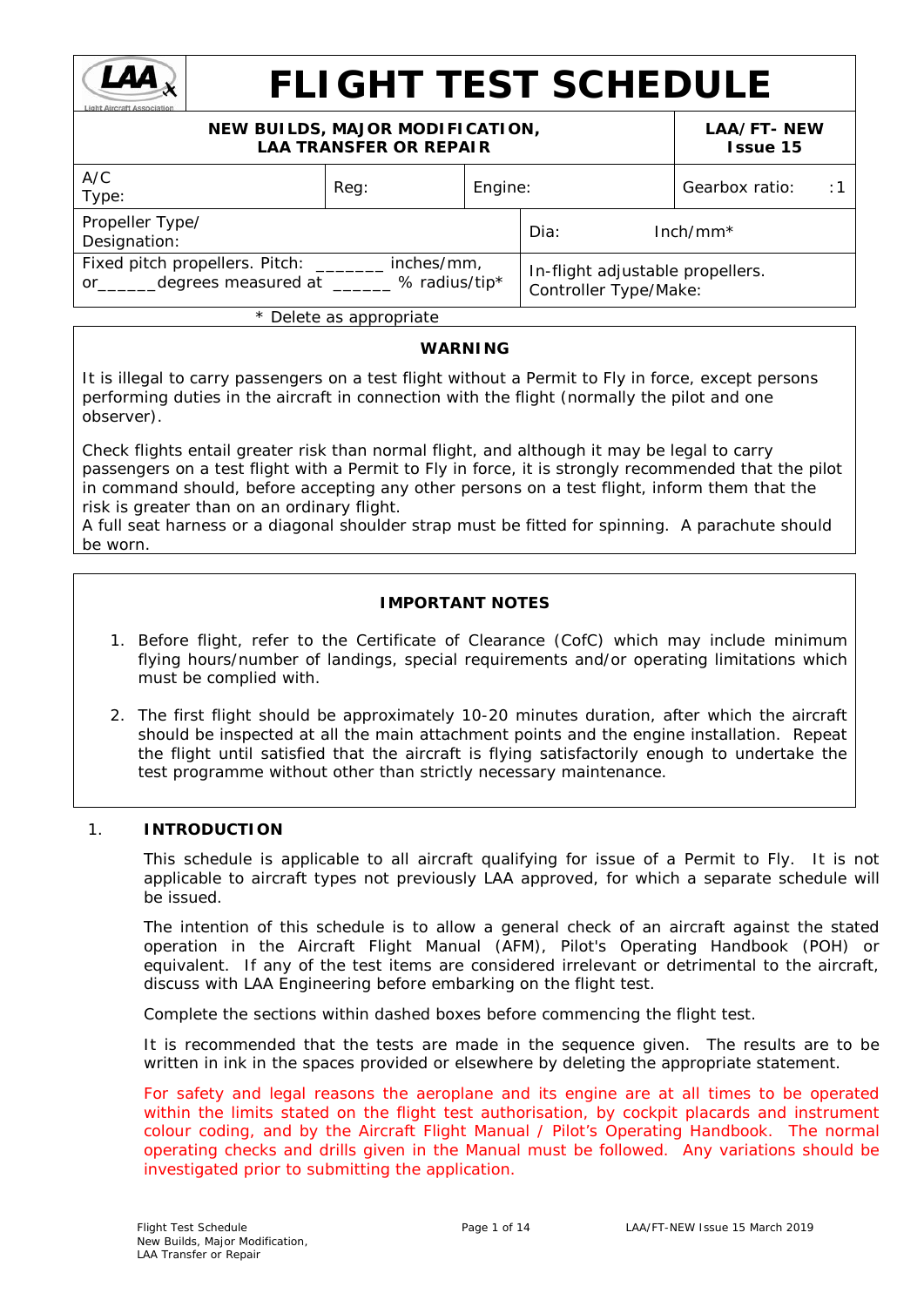

# **FLIGHT TEST SCHEDULE**

#### **NEW BUILDS, MAJOR MODIFICATION, LAA TRANSFER OR REPAIR LAA/FT- NEW Issue 15** A/C Are extended to the Reg: the Reg: the Engine: the Real Gearbox ratio: the 1<br>Type: the Register of Engines of Area is a set of the Register of Area is a set of the Register of Engines is Propeller Type/ Designation: Dia: Inch/mm\* Fixed pitch propellers. Pitch: \_\_\_\_\_\_\_ inches/mm, rixed pricit propellers. Pricit. \_\_\_\_\_\_\_\_ filcries/film,<br>or degrees measured at % radius/tip\* | Controller Time Make. Controller Type/Make:

\* *Delete as appropriate*

## **WARNING**

It is illegal to carry passengers on a test flight without a Permit to Fly in force, except persons performing duties in the aircraft in connection with the flight (normally the pilot and one observer).

Check flights entail greater risk than normal flight, and although it may be legal to carry passengers on a test flight with a Permit to Fly in force, it is strongly recommended that the pilot in command should, before accepting any other persons on a test flight, inform them that the risk is greater than on an ordinary flight.

A full seat harness or a diagonal shoulder strap must be fitted for spinning. A parachute should be worn.

## **IMPORTANT NOTES**

- 1. Before flight, refer to the Certificate of Clearance (CofC) which may include minimum flying hours/number of landings, special requirements and/or operating limitations which must be complied with.
- 2. The first flight should be approximately 10-20 minutes duration, after which the aircraft should be inspected at all the main attachment points and the engine installation. Repeat the flight until satisfied that the aircraft is flying satisfactorily enough to undertake the test programme without other than strictly necessary maintenance.

## 1. **INTRODUCTION**

This schedule is applicable to all aircraft qualifying for issue of a Permit to Fly. It is not applicable to aircraft types not previously LAA approved, for which a separate schedule will be issued.

The intention of this schedule is to allow a general check of an aircraft against the stated operation in the Aircraft Flight Manual (AFM), Pilot's Operating Handbook (POH) or equivalent. If any of the test items are considered irrelevant or detrimental to the aircraft, discuss with LAA Engineering *before* embarking on the flight test.

Complete the sections within dashed boxes before commencing the flight test.

It is recommended that the tests are made in the sequence given. The results are to be written in ink in the spaces provided or elsewhere by deleting the appropriate statement.

*For safety and legal reasons the aeroplane and its engine are at all times to be operated*  within the limits stated on the flight test authorisation, by cockpit placards and instrument *colour coding, and by the Aircraft Flight Manual / Pilot's Operating Handbook. The normal operating checks and drills given in the Manual must be followed. Any variations should be investigated prior to submitting the application.*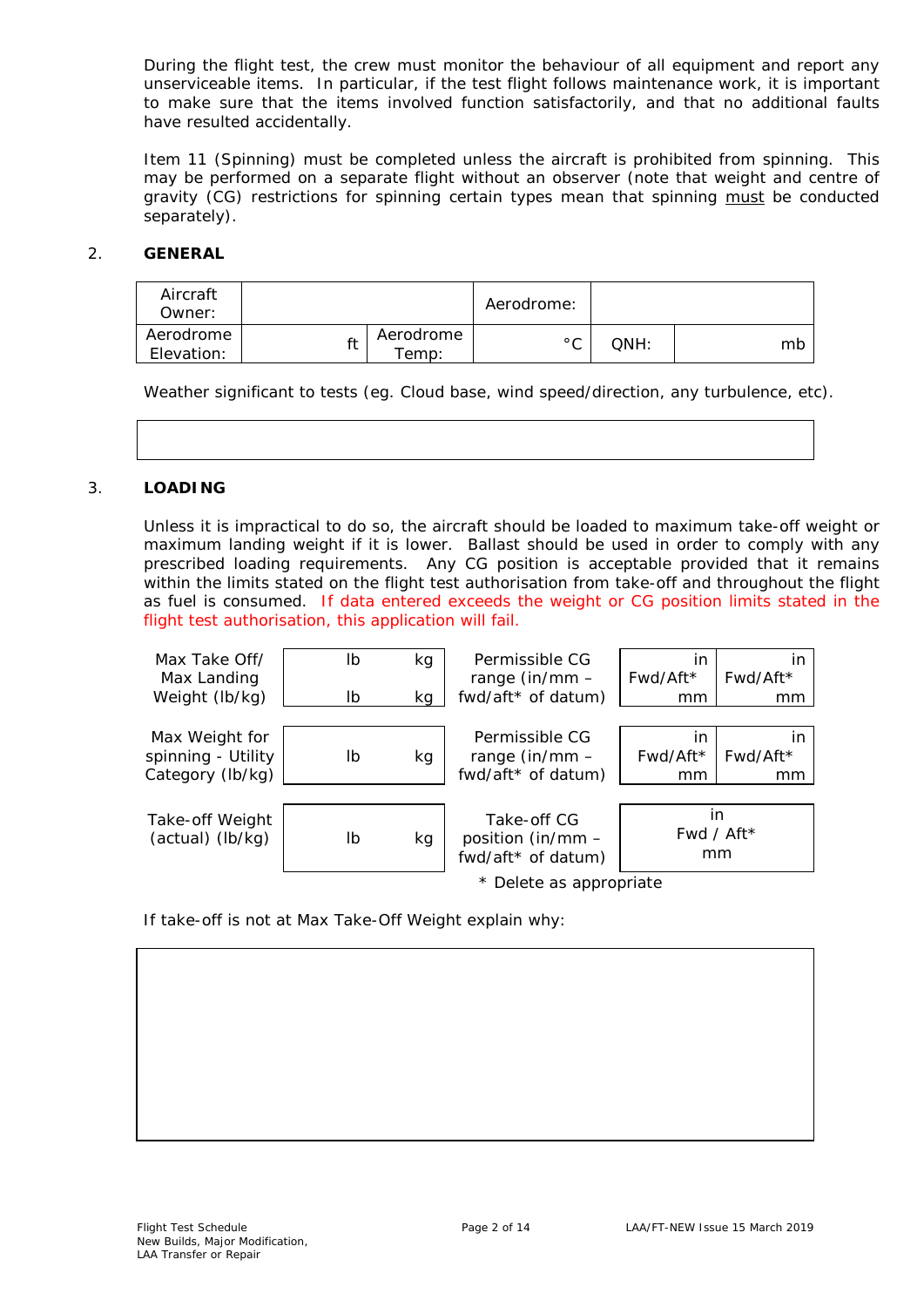During the flight test, the crew must monitor the behaviour of all equipment and report any unserviceable items. In particular, if the test flight follows maintenance work, it is important to make sure that the items involved function satisfactorily, and that no additional faults have resulted accidentally.

Item 11 (Spinning) must be completed unless the aircraft is prohibited from spinning. This may be performed on a separate flight without an observer (note that weight and centre of gravity (CG) restrictions for spinning certain types mean that spinning must be conducted separately).

## 2. **GENERAL**

| Aircraft<br>Owner:      |  |                    | Aerodrome:   |      |    |
|-------------------------|--|--------------------|--------------|------|----|
| Aerodrome<br>Elevation: |  | Aerodrome<br>Femp: | $^{\circ}$ C | OMH: | mb |

Weather significant to tests (eg. Cloud base, wind speed/direction, any turbulence, etc).

## 3. **LOADING**

Unless it is impractical to do so, the aircraft should be loaded to maximum take-off weight or maximum landing weight if it is lower. Ballast should be used in order to comply with any prescribed loading requirements. Any CG position is acceptable provided that it remains within the limits stated on the flight test authorisation from take-off and throughout the flight as fuel is consumed. *If data entered exceeds the weight or CG position limits stated in the flight test authorisation, this application will fail.*



If take-off is not at Max Take-Off Weight explain why: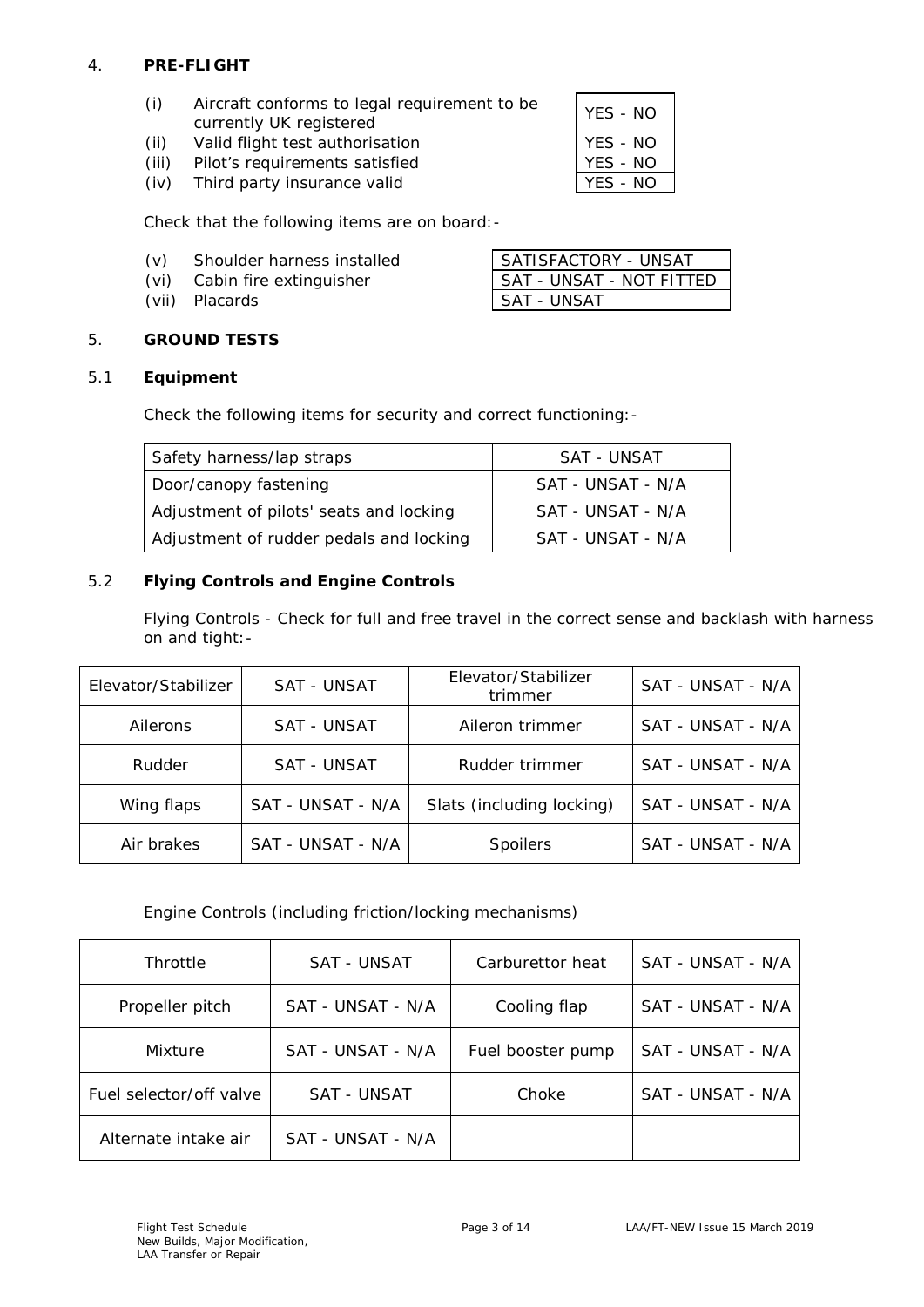## 4. **PRE-FLIGHT**

| (i) | Aircraft conforms to legal requirement to be | YES - NO |
|-----|----------------------------------------------|----------|
|     | currently UK registered                      |          |

- (ii) Valid flight test authorisation The VES NO<br>
(iii) Pilot's requirements satisfied TES NO
- (iii) Pilot's requirements satisfied<br>
(iv) Third party insurance valid<br>
YES NO
- $(iv)$  Third party insurance valid

Check that the following items are on board:-

- (v) Shoulder harness installed SATISFACTORY UNSAT
- 
- 

## (vi) Cabin fire extinguisher SAT - UNSAT - NOT FITTED (vii) Placards SAT - UNSAT

## 5. **GROUND TESTS**

## 5.1 **Equipment**

Check the following items for security and correct functioning:-

| Safety harness/lap straps               | SAT - UNSAT       |
|-----------------------------------------|-------------------|
| Door/canopy fastening                   | SAT - UNSAT - N/A |
| Adjustment of pilots' seats and locking | SAT - UNSAT - N/A |
| Adjustment of rudder pedals and locking | SAT - UNSAT - N/A |

## 5.2 **Flying Controls and Engine Controls**

*Flying Controls* - Check for full and free travel in the correct sense and backlash with harness on and tight:-

| Elevator/Stabilizer             | Elevator/Stabilizer<br><b>SAT - UNSAT</b><br>trimmer |                           | SAT - UNSAT - N/A |
|---------------------------------|------------------------------------------------------|---------------------------|-------------------|
| Ailerons                        | SAT - UNSAT<br>Aileron trimmer                       |                           | SAT - UNSAT - N/A |
| Rudder                          | <b>SAT - UNSAT</b>                                   | Rudder trimmer            | SAT - UNSAT - N/A |
| Wing flaps                      | SAT - UNSAT - N/A                                    | Slats (including locking) | SAT - UNSAT - N/A |
| SAT - UNSAT - N/A<br>Air brakes |                                                      | <b>Spoilers</b>           | SAT - UNSAT - N/A |

*Engine Controls (including friction/locking mechanisms)*

| Throttle                               | SAT - UNSAT       | Carburettor heat  | SAT - UNSAT - N/A |
|----------------------------------------|-------------------|-------------------|-------------------|
| Propeller pitch                        | SAT - UNSAT - N/A | Cooling flap      | SAT - UNSAT - N/A |
| SAT - UNSAT - N/A<br>Mixture           |                   | Fuel booster pump | SAT - UNSAT - N/A |
| Fuel selector/off valve<br>SAT - UNSAT |                   | Choke             | SAT - UNSAT - N/A |
| Alternate intake air                   | SAT - UNSAT - N/A |                   |                   |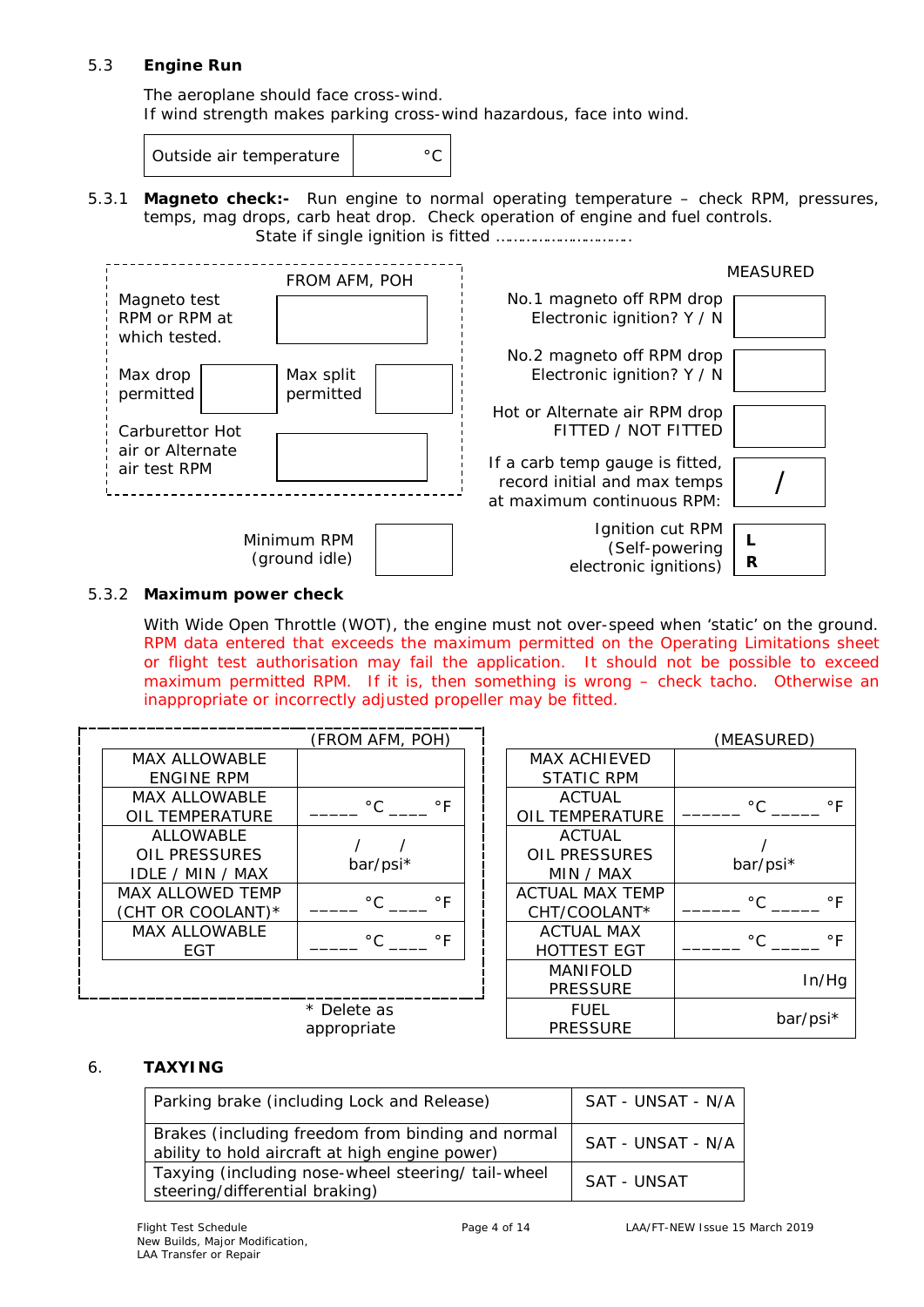## 5.3 **Engine Run**

The aeroplane should face cross-wind. If wind strength makes parking cross-wind hazardous, face into wind.

Outside air temperature  $\vert$  . The <sup>o</sup>C

5.3.1 **Magneto check:-** Run engine to normal operating temperature – check RPM, pressures, temps, mag drops, carb heat drop. Check operation of engine and fuel controls. State if single ignition is fitted …………………………..



## 5.3.2 **Maximum power check**

With Wide Open Throttle (WOT), the engine must not over-speed when 'static' on the ground. *RPM data entered that exceeds the maximum permitted on the Operating Limitations sheet or flight test authorisation may fail the application. It should not be possible to exceed maximum permitted RPM. If it is, then something is wrong – check tacho. Otherwise an inappropriate or incorrectly adjusted propeller may be fitted.*

|                                                                     | (FROM AFM, POH)           |                                |                                                    | (MEASURED)                 |
|---------------------------------------------------------------------|---------------------------|--------------------------------|----------------------------------------------------|----------------------------|
| <b>MAX ALLOWABLE</b><br><b>ENGINE RPM</b>                           |                           |                                | <b>MAX ACHIEVED</b><br><b>STATIC RPM</b>           |                            |
| <b>MAX ALLOWABLE</b><br><b>OIL TEMPERATURE</b>                      | $^{\circ}$ C<br>$\circ$ F |                                | <b>ACTUAL</b><br>OIL TEMPERATURE                   | $^{\circ}$ C<br>$\circ$ F  |
| <b>ALLOWABLE</b><br><b>OIL PRESSURES</b><br><b>IDLE / MIN / MAX</b> | bar/psi*                  |                                | <b>ACTUAL</b><br><b>OIL PRESSURES</b><br>MIN / MAX | bar/psi*                   |
| <b>MAX ALLOWED TEMP</b><br>(CHT OR COOLANT)*                        | $\circ$ F<br>$^{\circ}$ C |                                | <b>ACTUAL MAX TEMP</b><br>CHT/COOLANT*             | $^{\circ}$ C.<br>$\circ$ F |
| <b>MAX ALLOWABLE</b><br>EGT.                                        | $^{\circ}$ C<br>$\circ$ F |                                | <b>ACTUAL MAX</b><br><b>HOTTEST EGT</b>            | $^{\circ}$ C<br>$\circ$ F  |
|                                                                     |                           |                                | <b>MANIFOLD</b><br><b>PRESSURE</b>                 | In/Hg                      |
| * Delete as<br>appropriate                                          |                           | <b>FUEL</b><br><b>PRESSURE</b> | bar/psi*                                           |                            |

## 6. **TAXYING**

| Parking brake (including Lock and Release)                                                          | SAT - UNSAT - N/A |
|-----------------------------------------------------------------------------------------------------|-------------------|
| Brakes (including freedom from binding and normal<br>ability to hold aircraft at high engine power) | SAT - UNSAT - N/A |
| Taxying (including nose-wheel steering/ tail-wheel<br>steering/differential braking)                | SAT - UNSAT       |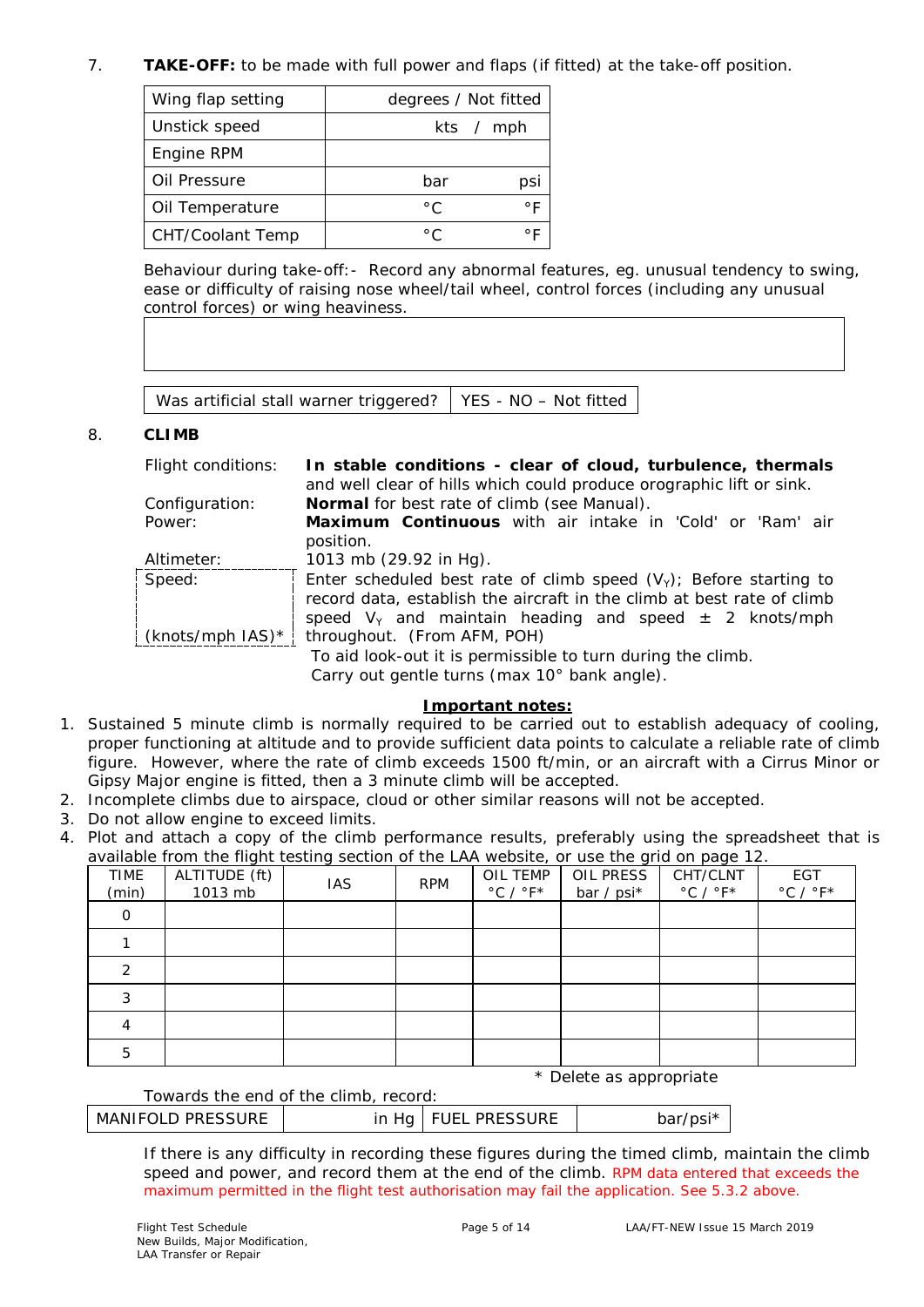## 7. **TAKE-OFF:** to be made with full power and flaps (if fitted) at the take-off position.

| Wing flap setting       | degrees / Not fitted |
|-------------------------|----------------------|
| Unstick speed           | kts / mph            |
| Engine RPM              |                      |
| Oil Pressure            | bar<br>psi           |
| Oil Temperature         | ۰F<br>$^{\circ}$ C   |
| <b>CHT/Coolant Temp</b> | $^{\circ}$ C<br>∘ ⊏  |

Behaviour during take-off:- Record any abnormal features, eg. unusual tendency to swing, ease or difficulty of raising nose wheel/tail wheel, control forces (including any unusual control forces) or wing heaviness.

Was artificial stall warner triggered? | YES - NO – Not fitted

## 8. **CLIMB**

Flight conditions: **In stable conditions - clear of cloud, turbulence, thermals** and well clear of hills which could produce orographic lift or sink. Configuration: **Normal** for best rate of climb (see Manual). Power: **Maximum Continuous** with air intake in 'Cold' or 'Ram' air position. Altimeter: 1013 mb (29.92 in Hg). Speed:  $\frac{1}{2}$  (knots/mph IAS)\*  $\frac{1}{2}$ Enter scheduled best rate of climb speed  $(V_Y)$ ; Before starting to record data, establish the aircraft in the climb at best rate of climb speed  $V_Y$  and maintain heading and speed  $\pm$  2 knots/mph throughout. (From AFM, POH) To aid look-out it is permissible to turn during the climb. Carry out gentle turns (max 10° bank angle).

## **Important notes:**

- 1. Sustained 5 minute climb is normally required to be carried out to establish adequacy of cooling, proper functioning at altitude and to provide sufficient data points to calculate a reliable rate of climb figure. However, where the rate of climb exceeds 1500 ft/min, or an aircraft with a Cirrus Minor or Gipsy Major engine is fitted, then a 3 minute climb will be accepted.
- 2. Incomplete climbs due to airspace, cloud or other similar reasons will not be accepted.
- 3. Do not allow engine to exceed limits.
- 4. Plot and attach a copy of the climb performance results, preferably using the spreadsheet that is available from the flight testing section of the LAA website, or use the grid on page 12.

| TIME<br>(min) | ALTITUDE (ft)<br>1013 mb | <u>J</u><br><b>IAS</b> | <b>RPM</b> | OIL TEMP<br>$^{\circ}$ C / $^{\circ}$ F* | OIL PRESS<br>bar / psi* | $\sim$<br>CHT/CLNT<br>$^{\circ}$ C / $^{\circ}$ F* | EGT<br>$^{\circ}$ C / $^{\circ}$ F* |
|---------------|--------------------------|------------------------|------------|------------------------------------------|-------------------------|----------------------------------------------------|-------------------------------------|
|               |                          |                        |            |                                          |                         |                                                    |                                     |
|               |                          |                        |            |                                          |                         |                                                    |                                     |
| ◠             |                          |                        |            |                                          |                         |                                                    |                                     |
| 3             |                          |                        |            |                                          |                         |                                                    |                                     |
|               |                          |                        |            |                                          |                         |                                                    |                                     |
| 5             |                          |                        |            |                                          |                         |                                                    |                                     |

\* *Delete as appropriate*

## Towards the end of the climb, record:

| MANIFOLD PRESSURE |  | in Hg   FUEL PRESSURE | bar/psi* |
|-------------------|--|-----------------------|----------|
|-------------------|--|-----------------------|----------|

If there is any difficulty in recording these figures during the timed climb, maintain the climb speed and power, and record them at the end of the climb. *RPM data entered that exceeds the maximum permitted in the flight test authorisation may fail the application. See 5.3.2 above.*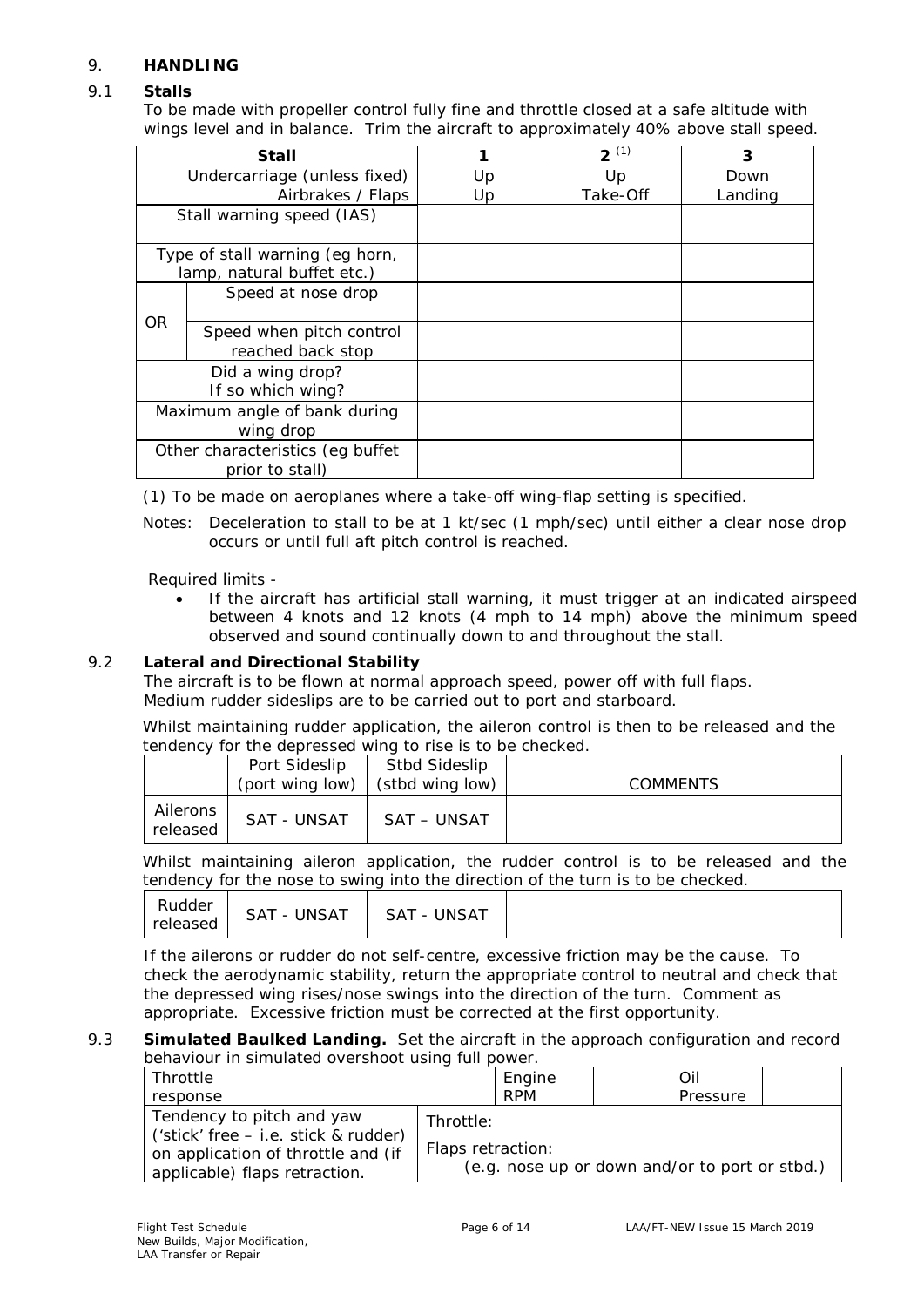## 9. **HANDLING**

## 9.1 **Stalls**

To be made with propeller control fully fine and throttle closed at a safe altitude with wings level and in balance. Trim the aircraft to approximately 40% above stall speed.

| Stall                        |                                  |    | $2^{(1)}$ | 3       |
|------------------------------|----------------------------------|----|-----------|---------|
| Undercarriage (unless fixed) |                                  | Up | Up        | Down    |
|                              | Airbrakes / Flaps                | Up | Take-Off  | Landing |
|                              | Stall warning speed (IAS)        |    |           |         |
|                              | Type of stall warning (eg horn,  |    |           |         |
|                              | lamp, natural buffet etc.)       |    |           |         |
|                              | Speed at nose drop               |    |           |         |
| OR.                          |                                  |    |           |         |
|                              | Speed when pitch control         |    |           |         |
|                              | reached back stop                |    |           |         |
|                              | Did a wing drop?                 |    |           |         |
| If so which wing?            |                                  |    |           |         |
| Maximum angle of bank during |                                  |    |           |         |
| wing drop                    |                                  |    |           |         |
|                              | Other characteristics (eg buffet |    |           |         |
|                              | prior to stall)                  |    |           |         |

(1) To be made on aeroplanes where a take-off wing-flap setting is specified.

Notes: Deceleration to stall to be at 1 kt/sec (1 mph/sec) until either a clear nose drop occurs or until full aft pitch control is reached.

Required limits -

• If the aircraft has artificial stall warning, it must trigger at an indicated airspeed between 4 knots and 12 knots (4 mph to 14 mph) above the minimum speed observed and sound continually down to and throughout the stall.

## 9.2 **Lateral and Directional Stability**

The aircraft is to be flown at normal approach speed, power off with full flaps. Medium rudder sideslips are to be carried out to port and starboard.

Whilst maintaining rudder application, the aileron control is then to be released and the tendency for the depressed wing to rise is to be checked.

|                      | Port Sideslip<br>(port wing low) | Stbd Sideslip<br>(stbd wing low) | <b>COMMENTS</b> |
|----------------------|----------------------------------|----------------------------------|-----------------|
| Ailerons<br>released | <b>SAT - UNSAT</b>               | SAT – UNSAT                      |                 |

Whilst maintaining aileron application, the rudder control is to be released and the tendency for the nose to swing into the direction of the turn is to be checked.

| SAT - UNSAT   SAT - UNSAT |
|---------------------------|
|---------------------------|

If the ailerons or rudder do not self-centre, excessive friction may be the cause. To check the aerodynamic stability, return the appropriate control to neutral and check that the depressed wing rises/nose swings into the direction of the turn. Comment as appropriate. Excessive friction must be corrected at the first opportunity.

#### 9.3 **Simulated Baulked Landing.** Set the aircraft in the approach configuration and record behaviour in simulated overshoot using full power.

| Throttle |                                                                                                                                            |                                | Engine                                         | Oil      |  |
|----------|--------------------------------------------------------------------------------------------------------------------------------------------|--------------------------------|------------------------------------------------|----------|--|
| response |                                                                                                                                            |                                | <b>RPM</b>                                     | Pressure |  |
|          | Tendency to pitch and yaw<br>$('stick' free - i.e. stick & rudder)$<br>on application of throttle and (if<br>applicable) flaps retraction. | Throttle:<br>Flaps retraction: | (e.g. nose up or down and/or to port or stbd.) |          |  |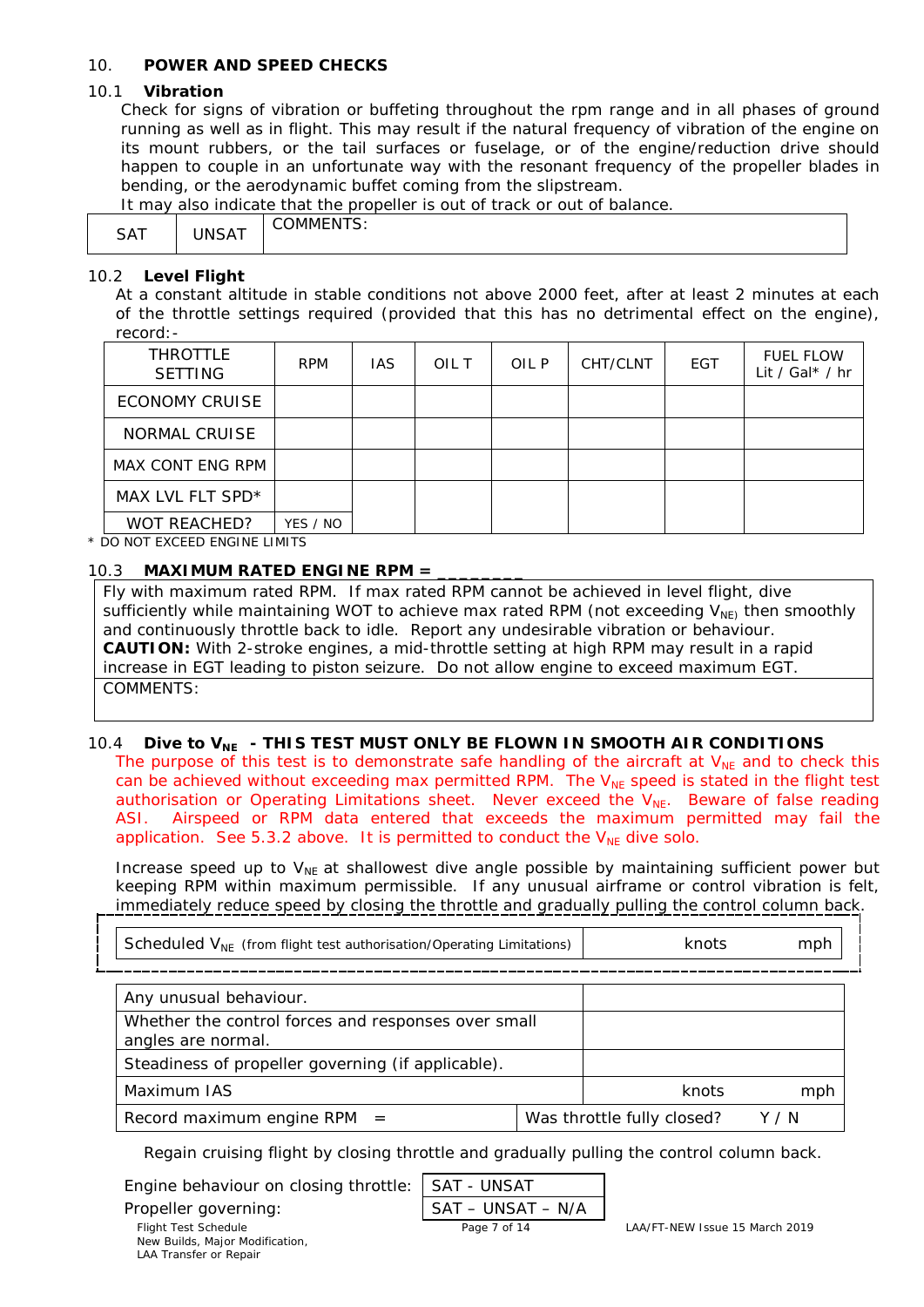## 10. **POWER AND SPEED CHECKS**

## 10.1 **Vibration**

Check for signs of vibration or buffeting throughout the rpm range and in all phases of ground running as well as in flight. This may result if the natural frequency of vibration of the engine on its mount rubbers, or the tail surfaces or fuselage, or of the engine/reduction drive should happen to couple in an unfortunate way with the resonant frequency of the propeller blades in bending, or the aerodynamic buffet coming from the slipstream.

It may also indicate that the propeller is out of track or out of balance.

| .                     |                    |                   |
|-----------------------|--------------------|-------------------|
| $C \Lambda T$<br>5A I | $10M + T$<br>IJA I | ND.<br>71 IV<br>້ |

## 10.2 **Level Flight**

At a constant altitude in stable conditions not above 2000 feet, after at least 2 minutes at each of the throttle settings required (provided that this has no detrimental effect on the engine), record:-

| <b>THROTTLE</b><br><b>SETTING</b> | <b>RPM</b> | IAS. | OIL T | OIL P | CHT/CLNT | EGT | <b>FUEL FLOW</b><br>Lit / Gal $*$ / hr |
|-----------------------------------|------------|------|-------|-------|----------|-----|----------------------------------------|
| <b>ECONOMY CRUISE</b>             |            |      |       |       |          |     |                                        |
| NORMAL CRUISE                     |            |      |       |       |          |     |                                        |
| MAX CONT ENG RPM                  |            |      |       |       |          |     |                                        |
| MAX LVL FLT SPD*                  |            |      |       |       |          |     |                                        |
| <b>WOT REACHED?</b>               | YES / NO   |      |       |       |          |     |                                        |

\* DO NOT EXCEED ENGINE LIMITS

## 10.3 **MAXIMUM RATED ENGINE RPM =**

Fly with maximum rated RPM. If max rated RPM cannot be achieved in level flight, dive sufficiently while maintaining WOT to achieve max rated RPM (not exceeding  $V_{NE}$ ) then smoothly and continuously throttle back to idle. Report any undesirable vibration or behaviour. **CAUTION:** With 2-stroke engines, a mid-throttle setting at high RPM may result in a rapid increase in EGT leading to piston seizure. Do not allow engine to exceed maximum EGT. COMMENTS:

## 10.4 **Dive to V<sub>NE</sub> - THIS TEST MUST ONLY BE FLOWN IN SMOOTH AIR CONDITIONS**

*The purpose of this test is to demonstrate safe handling of the aircraft at V<sub>NE</sub> and to check this can be achieved without exceeding max permitted RPM. The V<sub>NE</sub> speed is stated in the flight test authorisation* or Operating Limitations sheet. Never exceed the V<sub>NE</sub>. Beware of false reading *ASI. Airspeed or RPM data entered that exceeds the maximum permitted may fail the application. See 5.3.2 above. It is permitted to conduct the V<sub>NF</sub> dive solo.* 

Increase speed up to  $V_{NE}$  at shallowest dive angle possible by maintaining sufficient power but keeping RPM within maximum permissible. If any unusual airframe or control vibration is felt, immediately reduce speed by closing the throttle and gradually pulling the control column back.

| Scheduled $V_{NF}$ (from flight test authorisation/Operating Limitations) | knots | mph                        |       |
|---------------------------------------------------------------------------|-------|----------------------------|-------|
|                                                                           |       |                            |       |
| Any unusual behaviour.                                                    |       |                            |       |
| Whether the control forces and responses over small<br>angles are normal. |       |                            |       |
| Steadiness of propeller governing (if applicable).                        |       |                            |       |
| Maximum IAS                                                               | knots | mph                        |       |
| Record maximum engine RPM $=$                                             |       | Was throttle fully closed? | Y / N |

Regain cruising flight by closing throttle and gradually pulling the control column back.

Engine behaviour on closing throttle:

Propeller governing:

 New Builds, Major Modification, LAA Transfer or Repair

$$
\frac{\mathsf{SAT} - \mathsf{UNSAT}}{\mathsf{SAT} - \mathsf{UNSAT} - \mathsf{N/A}}
$$

Flight Test Schedule Page 7 of 14 LAA/FT-NEW Issue 15 March 2019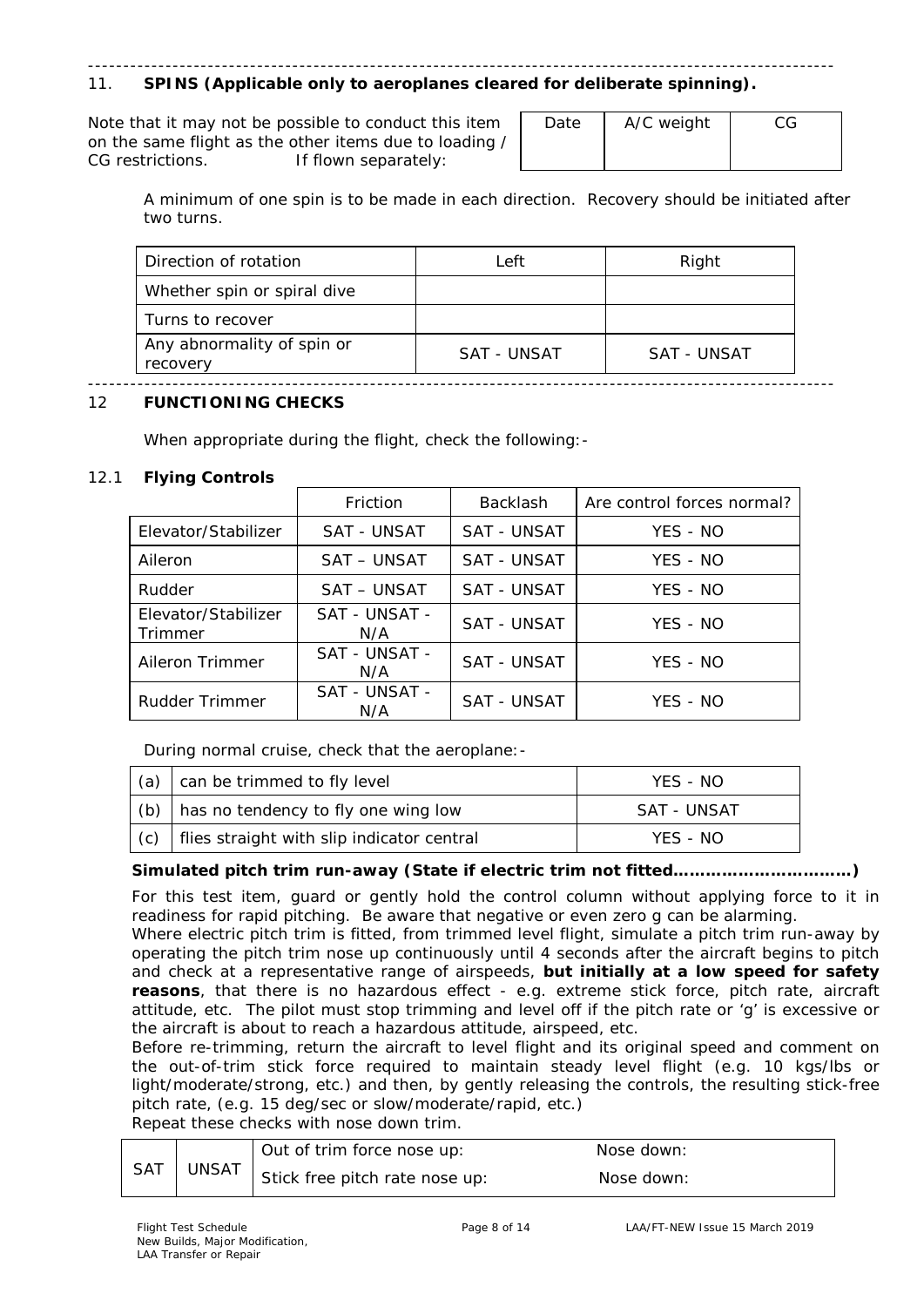#### ---------------------------------------------------------------------------------------------------------- 11. **SPINS (Applicable only to aeroplanes cleared for deliberate spinning).**

Note that it may not be possible to conduct this item on the same flight as the other items due to loading / CG restrictions. If flown separately:

| Date | A/C weight | CG |
|------|------------|----|
|      |            |    |
|      |            |    |

A minimum of one spin is to be made in each direction. Recovery should be initiated after two turns.

| Direction of rotation                  | Left        | Right       |
|----------------------------------------|-------------|-------------|
| Whether spin or spiral dive            |             |             |
| Turns to recover                       |             |             |
| Any abnormality of spin or<br>recovery | SAT - UNSAT | SAT - UNSAT |

#### ---------------------------------------------------------------------------------------------------------- 12 **FUNCTIONING CHECKS**

When appropriate during the flight, check the following:-

## 12.1 **Flying Controls**

|                                | Friction             | <b>Backlash</b>    | Are control forces normal? |
|--------------------------------|----------------------|--------------------|----------------------------|
| Elevator/Stabilizer            | SAT - UNSAT          | SAT - UNSAT        | YES - NO                   |
| Aileron                        | SAT – UNSAT          | SAT - UNSAT        | YES - NO                   |
| Rudder                         | SAT – UNSAT          | <b>SAT - UNSAT</b> | YES - NO                   |
| Elevator/Stabilizer<br>Trimmer | SAT - UNSAT -<br>N/A | SAT - UNSAT        | YES - NO                   |
| Aileron Trimmer                | SAT - UNSAT -<br>N/A | SAT - UNSAT        | YFS - NO                   |
| Rudder Trimmer                 | SAT - UNSAT -<br>N/A | SAT - UNSAT        | YES - NO                   |

During normal cruise, check that the aeroplane:-

| (a) | can be trimmed to fly level                     | YFS - NO    |
|-----|-------------------------------------------------|-------------|
|     | (b) $\vert$ has no tendency to fly one wing low | SAT - UNSAT |
| (c) | flies straight with slip indicator central      | YFS - NO    |

## **Simulated pitch trim run-away (State if electric trim not fitted……………………………)**

For this test item, guard or gently hold the control column without applying force to it in readiness for rapid pitching. Be aware that negative or even zero g can be alarming.

Where electric pitch trim is fitted, from trimmed level flight, simulate a pitch trim run-away by operating the pitch trim nose up continuously until 4 seconds *after* the aircraft begins to pitch and check at a representative range of airspeeds, **but initially at a low speed for safety reasons**, that there is no hazardous effect - e.g. extreme stick force, pitch rate, aircraft attitude, etc. The pilot must stop trimming and level off if the pitch rate or 'g' is excessive or the aircraft is about to reach a hazardous attitude, airspeed, etc.

Before re-trimming, return the aircraft to level flight and its original speed and comment on the out-of-trim stick force required to maintain steady level flight (e.g. 10 kgs/lbs or light/moderate/strong, etc.) and then, by gently releasing the controls, the resulting stick-free pitch rate, (e.g. 15 deg/sec or slow/moderate/rapid, etc.)

Repeat these checks with nose down trim.

|     |              | Out of trim force nose up:     | Nose down: |
|-----|--------------|--------------------------------|------------|
| SAT | <b>UNSAT</b> | Stick free pitch rate nose up: | Nose down: |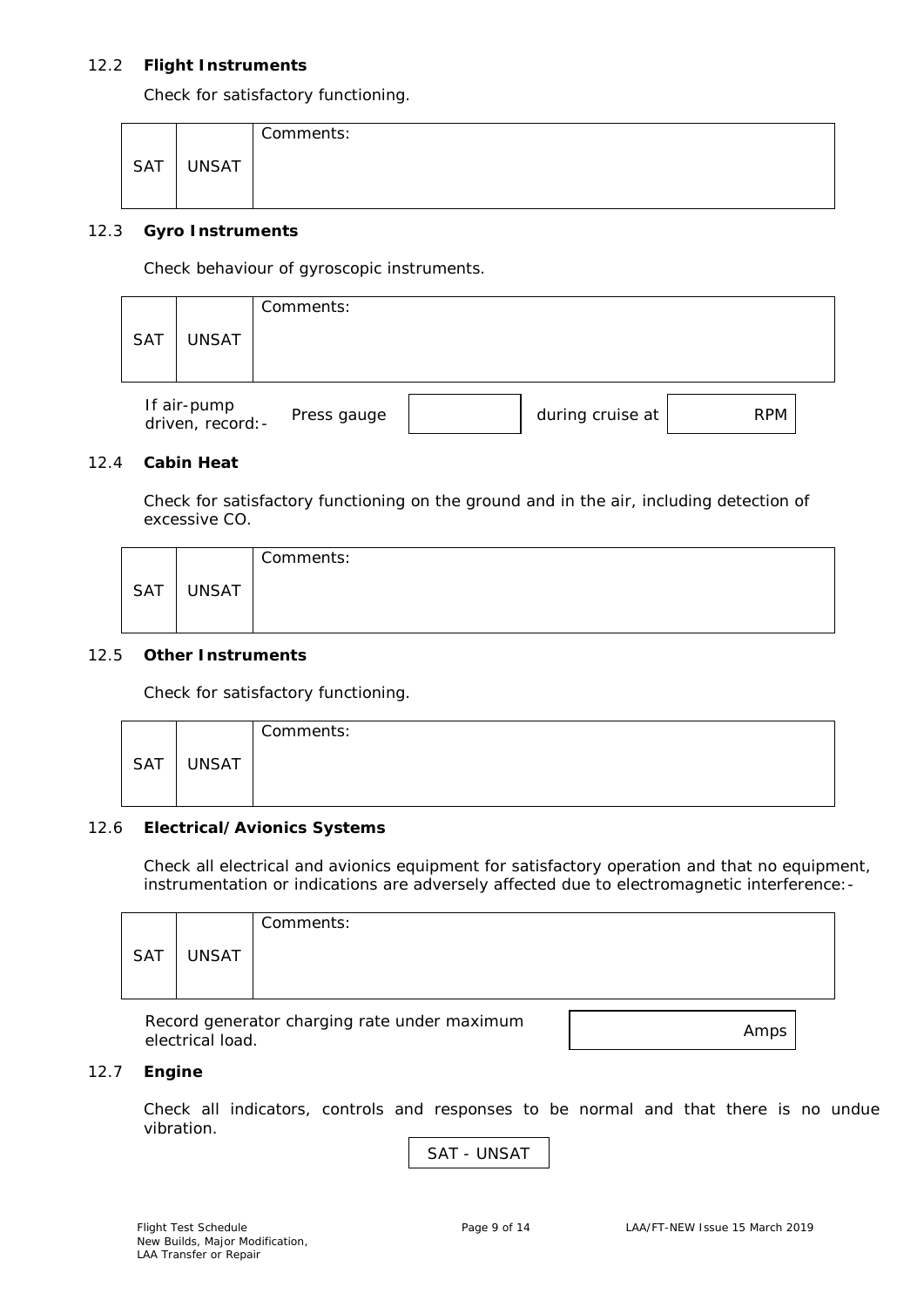## 12.2 **Flight Instruments**

Check for satisfactory functioning.

|     |              | Comments: |
|-----|--------------|-----------|
| SAT | <b>UNSAT</b> |           |

## 12.3 **Gyro Instruments**

Check behaviour of gyroscopic instruments.

| <b>SAT</b> | UNSAT                            | Comments:   |                  |            |  |
|------------|----------------------------------|-------------|------------------|------------|--|
|            | If air-pump<br>driven, record: - | Press gauge | during cruise at | <b>RPM</b> |  |

## 12.4 **Cabin Heat**

Check for satisfactory functioning on the ground and in the air, including detection of excessive CO.

|            |              | Comments: |
|------------|--------------|-----------|
| <b>SAT</b> | <b>UNSAT</b> |           |

## 12.5 **Other Instruments**

Check for satisfactory functioning.

|     |              | Comments: |
|-----|--------------|-----------|
| SAT | <b>UNSAT</b> |           |

#### 12.6 **Electrical/Avionics Systems**

Check all electrical and avionics equipment for satisfactory operation and that no equipment, instrumentation or indications are adversely affected due to electromagnetic interference:-

|            |              | Comments: |
|------------|--------------|-----------|
| <b>SAT</b> | <b>UNSAT</b> |           |
|            |              |           |

Record generator charging rate under maximum Record generator enarging rate and children in the condition of the Amps electrical load.

#### 12.7 **Engine**

Check all indicators, controls and responses to be normal and that there is no undue vibration.

SAT - UNSAT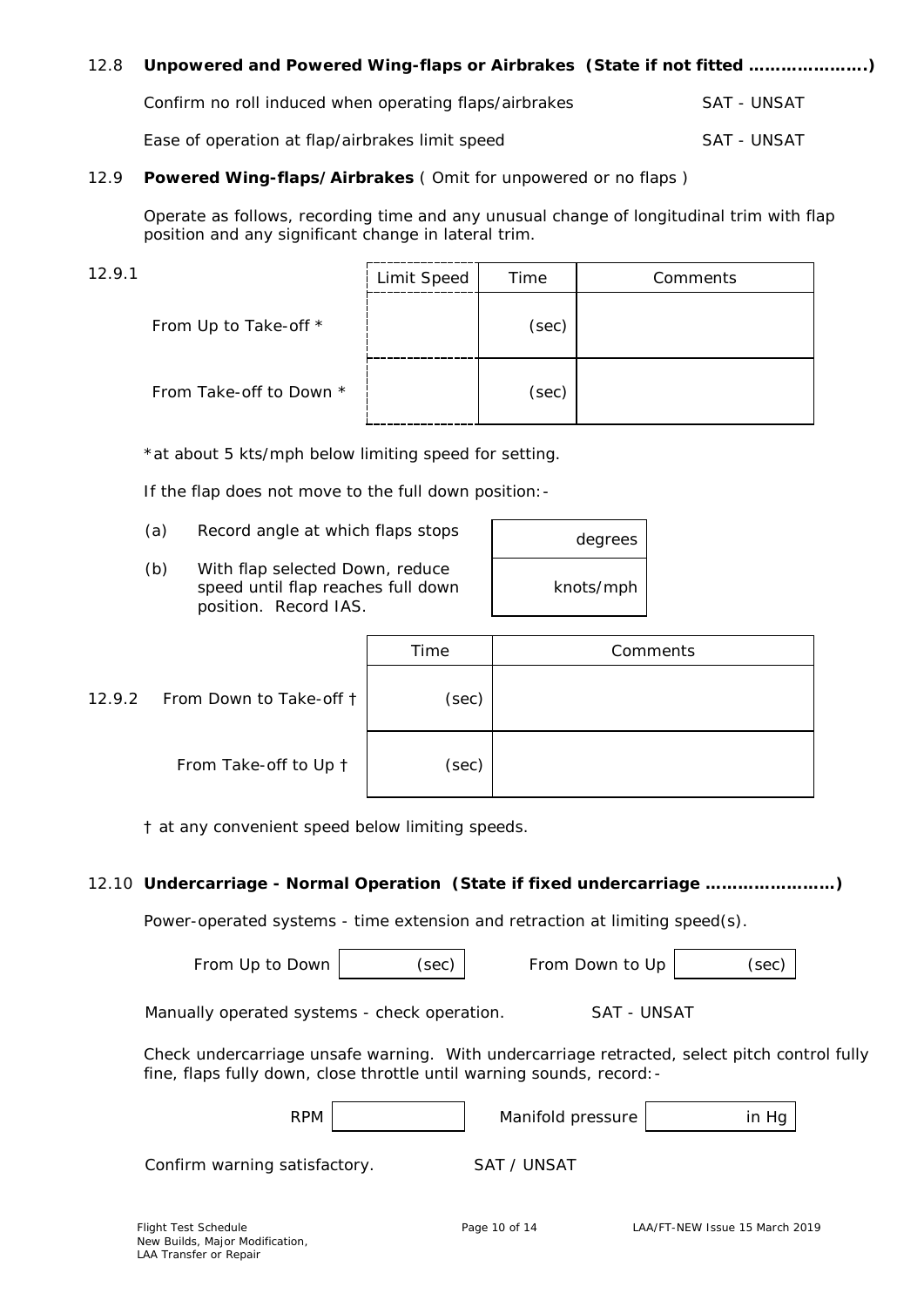| 12.8 | Unpowered and Powered Wing-flaps or Airbrakes (State if not fitted ) |             |
|------|----------------------------------------------------------------------|-------------|
|      | Confirm no roll induced when operating flaps/airbrakes               | SAT - UNSAT |
|      | Ease of operation at flap/airbrakes limit speed                      | SAT - UNSAT |

## 12.9 **Powered Wing-flaps/Airbrakes** ( Omit for unpowered or no flaps )

Operate as follows, recording time and any unusual change of longitudinal trim with flap position and any significant change in lateral trim.

| 12.9.1                  | Limit Speed | Time  | Comments |
|-------------------------|-------------|-------|----------|
| From Up to Take-off *   |             | (sec) |          |
| From Take-off to Down * |             | (sec) |          |

\**at about 5 kts/mph below limiting speed for setting*.

If the flap does not move to the full down position:-

- (a) Record angle at which flaps stops
- (b) With flap selected Down, reduce speed until flap reaches full down position. Record IAS.

| degrees   |  |
|-----------|--|
| knots/mph |  |

|                                | Time  | Comments |
|--------------------------------|-------|----------|
| 12.9.2 From Down to Take-off t | (sec) |          |
| From Take-off to Up 1          | (sec) |          |

† *at any convenient speed below limiting speeds*.

## 12.10 **Undercarriage - Normal Operation (State if fixed undercarriage ……………………)**

Power-operated systems - time extension and retraction at limiting speed(s).

From Up to Down  $|$  (sec) From Down to Up  $|$  (sec)

Manually operated systems - check operation. SAT - UNSAT

Check undercarriage unsafe warning. With undercarriage retracted, select pitch control fully fine, flaps fully down, close throttle until warning sounds, record:-

| <b>RPM</b> | Manifold pressure | in Hg |  |
|------------|-------------------|-------|--|
|            |                   |       |  |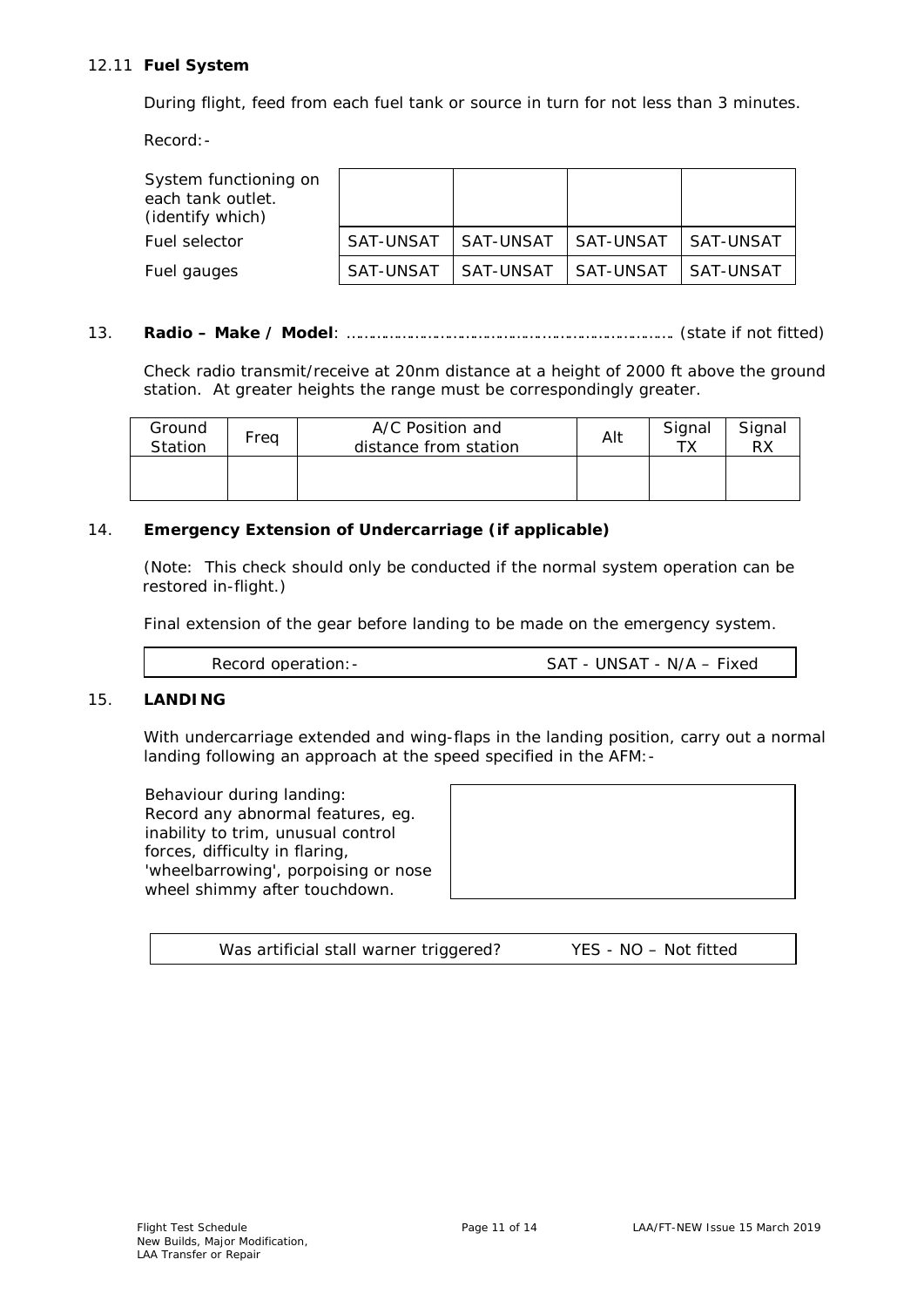## 12.11 **Fuel System**

During flight, feed from each fuel tank or source in turn for not less than 3 minutes.

Record:-

| System functioning on<br>each tank outlet.<br>(identify which) |                       |                       |                     |             |
|----------------------------------------------------------------|-----------------------|-----------------------|---------------------|-------------|
| Fuel selector                                                  | SAT-UNSAT   SAT-UNSAT |                       | l SAT-UNSAT         | l SAT-UNSAT |
| Fuel gauges                                                    |                       | SAT-UNSAT   SAT-UNSAT | SAT-UNSAT SAT-UNSAT |             |

## 13. **Radio – Make / Model**: ……………………………………….…………………………. (state if not fitted)

Check radio transmit/receive at 20nm distance at a height of 2000 ft above the ground station. At greater heights the range must be correspondingly greater.

| Ground<br>Station | Freg | A/C Position and<br>distance from station | Alt | Signal | Signal<br>RX |
|-------------------|------|-------------------------------------------|-----|--------|--------------|
|                   |      |                                           |     |        |              |

## 14. **Emergency Extension of Undercarriage (if applicable)**

(Note: This check should only be conducted if the normal system operation can be restored in-flight.)

Final extension of the gear before landing to be made on the emergency system.

| Record operation: - | SAT - UNSAT - N/A - Fixed |
|---------------------|---------------------------|
|                     |                           |

## 15. **LANDING**

With undercarriage extended and wing-flaps in the landing position, carry out a normal landing following an approach at the speed specified in the AFM:-

Behaviour during landing: Record any abnormal features, eg. inability to trim, unusual control forces, difficulty in flaring, 'wheelbarrowing', porpoising or nose wheel shimmy after touchdown.



| Was artificial stall warner triggered? | YES - NO - Not fitted |
|----------------------------------------|-----------------------|
|----------------------------------------|-----------------------|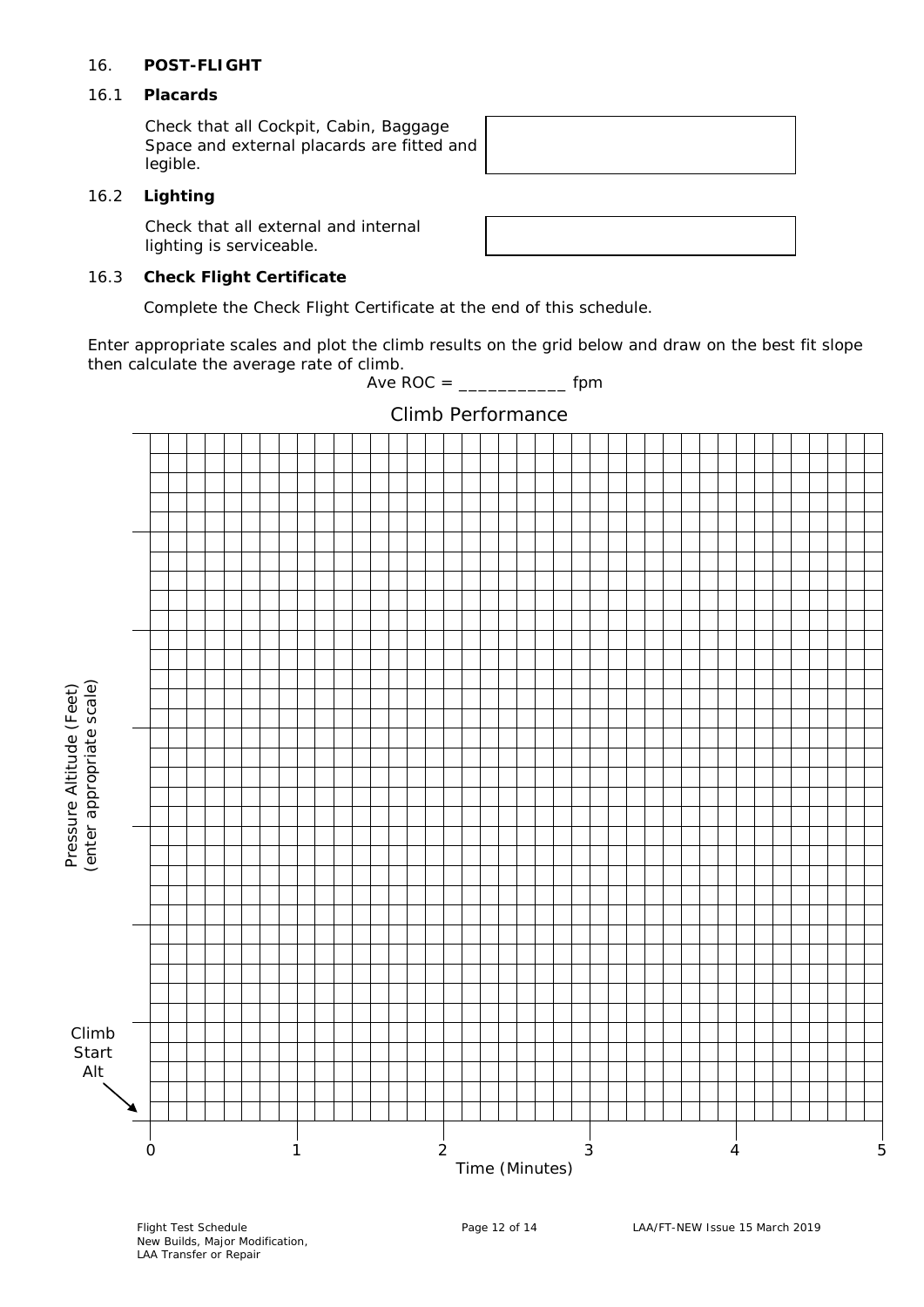## 16. **POST-FLIGHT**

## 16.1 **Placards**

Check that all Cockpit, Cabin, Baggage Space and external placards are fitted and legible.

## 16.2 **Lighting**

Check that all external and internal lighting is serviceable.

## 16.3 **Check Flight Certificate**

Complete the Check Flight Certificate at the end of this schedule.

Enter appropriate scales and plot the climb results on the grid below and draw on the best fit slope then calculate the average rate of climb.

Ave  $ROC =$  [pm



 New Builds, Major Modification, LAA Transfer or Repair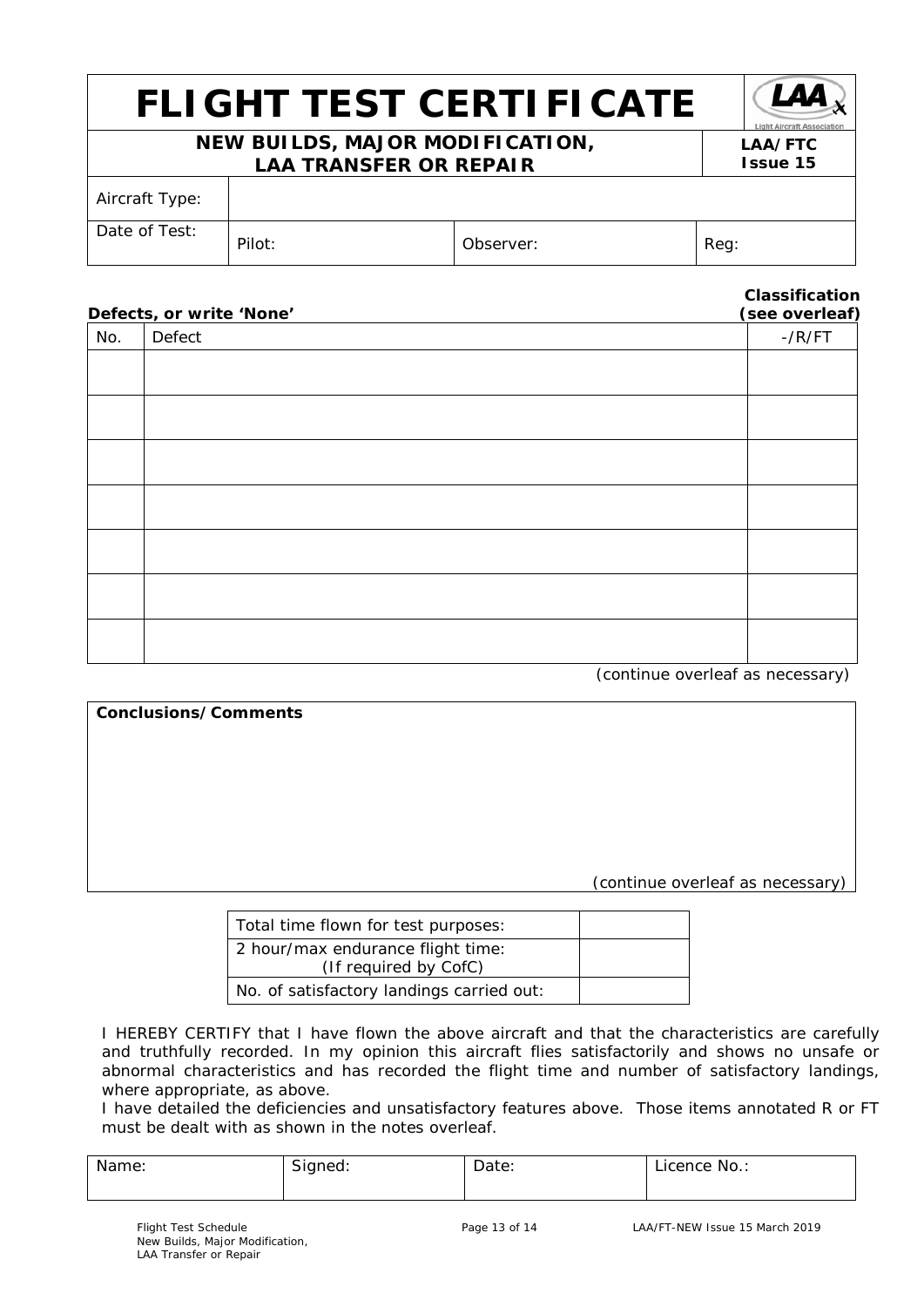## *FLIGHT TEST CERTIFICATE*

## **NEW BUILDS, MAJOR MODIFICATION, LAA TRANSFER OR REPAIR**

| Light Aircraft Associ |
|-----------------------|
| <b>LAA/FTC</b>        |
| <b>Issue 15</b>       |

| Aircraft Type: |        |           |      |
|----------------|--------|-----------|------|
| Date of Test:  | Pilot: | Observer: | Reg: |

## **Classification**

| Defects, or write 'None' |        | (see overleaf)   |
|--------------------------|--------|------------------|
| No.                      | Defect | $-$ / $R$ / $FT$ |
|                          |        |                  |
|                          |        |                  |
|                          |        |                  |
|                          |        |                  |
|                          |        |                  |
|                          |        |                  |
|                          |        |                  |
|                          |        |                  |
|                          |        |                  |
|                          |        |                  |
|                          |        |                  |

(continue overleaf as necessary)

**Conclusions/Comments** (continue overleaf as necessary)

| Total time flown for test purposes:                        |  |
|------------------------------------------------------------|--|
| 2 hour/max endurance flight time:<br>(If required by CofC) |  |
| No. of satisfactory landings carried out:                  |  |

I HEREBY CERTIFY that I have flown the above aircraft and that the characteristics are carefully and truthfully recorded. In my opinion this aircraft flies satisfactorily and shows no unsafe or abnormal characteristics and has recorded the flight time and number of satisfactory landings, where appropriate, as above.

I have detailed the deficiencies and unsatisfactory features above. Those items annotated R or FT must be dealt with as shown in the notes overleaf.

| Name<br>rne: | $\sim$<br>Signed.<br>ີ | -<br>Date: | No<br>ence<br>10<br>. |
|--------------|------------------------|------------|-----------------------|
|              |                        |            |                       |